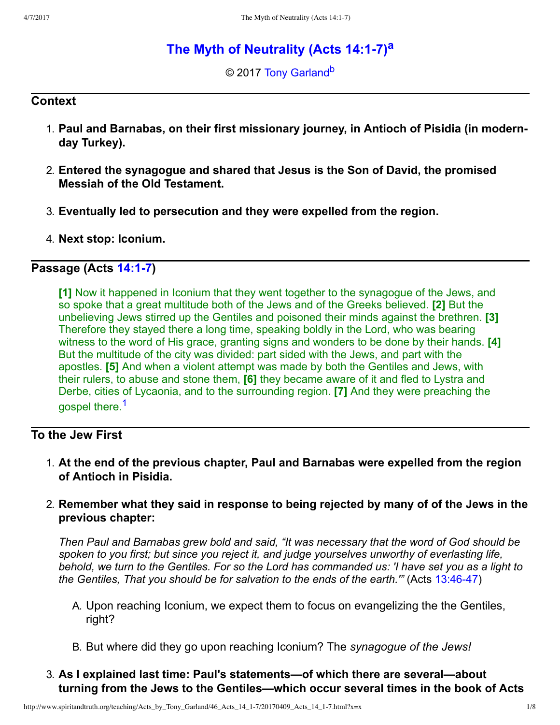# **[The Myth of Neutrality \(Acts 14:17\)](http://www.spiritandtruth.org/teaching/Acts_by_Tony_Garland/46_Acts_14_1-7/index.htm)[a](#page-7-0)**

<span id="page-0-3"></span><span id="page-0-2"></span>© 2017 [Tony Garland](http://www.spiritandtruth.org/id/tg.htm)<sup>[b](#page-7-1)</sup>

#### **Context**

- 1. **Paul and Barnabas, on their first missionary journey, in Antioch of Pisidia (in modernday Turkey).**
- 2. **Entered the synagogue and shared that Jesus is the Son of David, the promised Messiah of the Old Testament.**
- 3. **Eventually led to persecution and they were expelled from the region.**
- 4. **Next stop: Iconium.**

## **Passage (Acts [14:17](http://www.spiritandtruth.org/bibles/nasb/b44c014.htm#Acts_C14V1))**

<span id="page-0-1"></span>**[1]** Now it happened in Iconium that they went together to the synagogue of the Jews, and so spoke that a great multitude both of the Jews and of the Greeks believed. **[2]** But the unbelieving Jews stirred up the Gentiles and poisoned their minds against the brethren. **[3]** Therefore they stayed there a long time, speaking boldly in the Lord, who was bearing witness to the word of His grace, granting signs and wonders to be done by their hands. **[4]** But the multitude of the city was divided: part sided with the Jews, and part with the apostles. **[5]** And when a violent attempt was made by both the Gentiles and Jews, with their rulers, to abuse and stone them, **[6]** they became aware of it and fled to Lystra and Derbe, cities of Lycaonia, and to the surrounding region. **[7]** And they were preaching the gospel there.<sup>[1](#page-7-2)</sup>

## **To the Jew First**

- <span id="page-0-0"></span>1. **At the end of the previous chapter, Paul and Barnabas were expelled from the region of Antioch in Pisidia.**
- 2. **Remember what they said in response to being rejected by many of of the Jews in the previous chapter:**

*Then Paul and Barnabas grew bold and said, "It was necessary that the word of God should be spoken to you first; but since you reject it, and judge yourselves unworthy of everlasting life, behold, we turn to the Gentiles. For so the Lord has commanded us: 'I have set you as a light to the Gentiles, That you should be for salvation to the ends of the earth.*" (Acts 13:46-47)

- A. Upon reaching Iconium, we expect them to focus on evangelizing the the Gentiles, right?
- B. But where did they go upon reaching Iconium? The *synagogue of the Jews!*
- 3. **As I explained last time: Paul's statements—of which there are several—about turning from the Jews to the Gentiles—which occur several times in the book of Acts**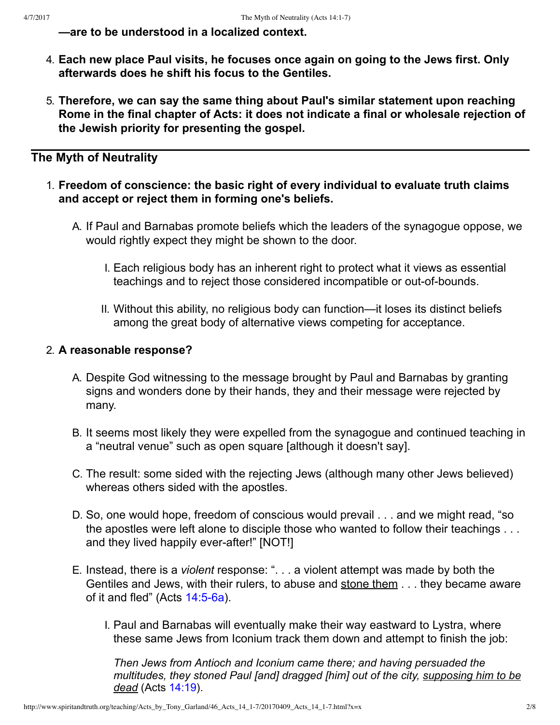**—are to be understood in a localized context.**

- 4. **Each new place Paul visits, he focuses once again on going to the Jews first. Only afterwards does he shift his focus to the Gentiles.**
- 5. **Therefore, we can say the same thing about Paul's similar statement upon reaching Rome in the final chapter of Acts: it does not indicate a final or wholesale rejection of the Jewish priority for presenting the gospel.**

## **The Myth of Neutrality**

- 1. **Freedom of conscience: the basic right of every individual to evaluate truth claims and accept or reject them in forming one's beliefs.**
	- A. If Paul and Barnabas promote beliefs which the leaders of the synagogue oppose, we would rightly expect they might be shown to the door.
		- I. Each religious body has an inherent right to protect what it views as essential teachings and to reject those considered incompatible or out-of-bounds.
		- II. Without this ability, no religious body can function—it loses its distinct beliefs among the great body of alternative views competing for acceptance.

### 2. **A reasonable response?**

- A. Despite God witnessing to the message brought by Paul and Barnabas by granting signs and wonders done by their hands, they and their message were rejected by many.
- B. It seems most likely they were expelled from the synagogue and continued teaching in a "neutral venue" such as open square [although it doesn't say].
- C. The result: some sided with the rejecting Jews (although many other Jews believed) whereas others sided with the apostles.
- D. So, one would hope, freedom of conscious would prevail . . . and we might read, "so the apostles were left alone to disciple those who wanted to follow their teachings . . . and they lived happily ever-after!" [NOT!]
- E. Instead, there is a *violent* response: ". . . a violent attempt was made by both the Gentiles and Jews, with their rulers, to abuse and stone them . . . they became aware of it and fled" (Acts  $14:5-6a$ ).
	- I. Paul and Barnabas will eventually make their way eastward to Lystra, where these same Jews from Iconium track them down and attempt to finish the job:

*Then Jews from Antioch and Iconium came there; and having persuaded the multitudes, they stoned Paul [and] dragged [him] out of the city, supposing him to be dead* (Acts [14:19\)](http://www.spiritandtruth.org/bibles/nasb/b44c014.htm#Acts_C14V19).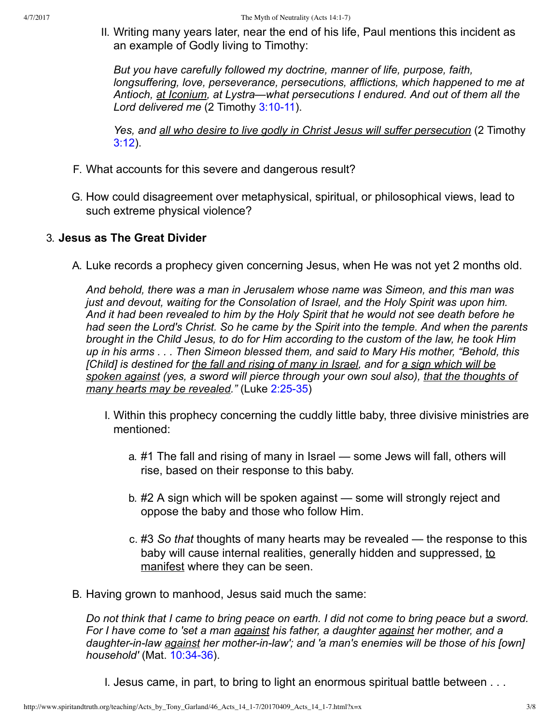II. Writing many years later, near the end of his life, Paul mentions this incident as an example of Godly living to Timothy:

*But you have carefully followed my doctrine, manner of life, purpose, faith, longsuffering, love, perseverance, persecutions, afflictions, which happened to me at Antioch, at Iconium, at Lystra—what persecutions I endured. And out of them all the* Lord delivered me (2 Timothy 3:10-11).

*Yes, and all who desire to live godly in Christ Jesus will suffer persecution* (2 Timothy [3:12](http://www.spiritandtruth.org/bibles/nasb/b55c003.htm#2Ti._C3V12)).

- F. What accounts for this severe and dangerous result?
- G. How could disagreement over metaphysical, spiritual, or philosophical views, lead to such extreme physical violence?

### 3. **Jesus as The Great Divider**

A. Luke records a prophecy given concerning Jesus, when He was not yet 2 months old.

*And behold, there was a man in Jerusalem whose name was Simeon, and this man was just and devout, waiting for the Consolation of Israel, and the Holy Spirit was upon him. And it had been revealed to him by the Holy Spirit that he would not see death before he had seen the Lord's Christ. So he came by the Spirit into the temple. And when the parents brought in the Child Jesus, to do for Him according to the custom of the law, he took Him up in his arms . . . Then Simeon blessed them, and said to Mary His mother, "Behold, this [Child] is destined for the fall and rising of many in Israel, and for a sign which will be spoken against (yes, a sword will pierce through your own soul also), that the thoughts of many hearts may be revealed.*" (Luke 2:25-35)

- I. Within this prophecy concerning the cuddly little baby, three divisive ministries are mentioned:
	- a. #1 The fall and rising of many in Israel some Jews will fall, others will rise, based on their response to this baby.
	- b. #2 A sign which will be spoken against some will strongly reject and oppose the baby and those who follow Him.
	- c. #3 *So that* thoughts of many hearts may be revealed the response to this baby will cause internal realities, generally hidden and suppressed, to manifest where they can be seen.
- B. Having grown to manhood, Jesus said much the same:

*Do not think that I came to bring peace on earth. I did not come to bring peace but a sword. For I have come to 'set a man against his father, a daughter against her mother, and a* daughter-in-law *against* her mother-in-law'; and 'a man's enemies will be those of his [own] *household'* (Mat. 10:34-36).

I. Jesus came, in part, to bring to light an enormous spiritual battle between . . .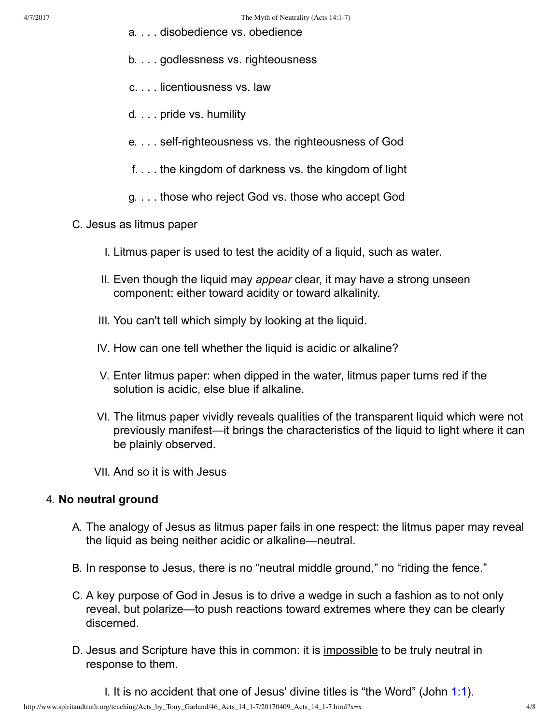- a. . . . disobedience vs. obedience
- b. . . . godlessness vs. righteousness
- c. . . . licentiousness vs. law
- d. . . . pride vs. humility
- e. . . . self-righteousness vs. the righteousness of God
- f. . . . the kingdom of darkness vs. the kingdom of light
- g. . . . those who reject God vs. those who accept God
- C. Jesus as litmus paper
	- I. Litmus paper is used to test the acidity of a liquid, such as water.
	- II. Even though the liquid may *appear* clear, it may have a strong unseen component: either toward acidity or toward alkalinity.
	- III. You can't tell which simply by looking at the liquid.
	- IV. How can one tell whether the liquid is acidic or alkaline?
	- V. Enter litmus paper: when dipped in the water, litmus paper turns red if the solution is acidic, else blue if alkaline.
	- VI. The litmus paper vividly reveals qualities of the transparent liquid which were not previously manifest—it brings the characteristics of the liquid to light where it can be plainly observed.
	- VII. And so it is with Jesus

#### 4. **No neutral ground**

- A. The analogy of Jesus as litmus paper fails in one respect: the litmus paper may reveal the liquid as being neither acidic or alkaline—neutral.
- B. In response to Jesus, there is no "neutral middle ground," no "riding the fence."
- C. A key purpose of God in Jesus is to drive a wedge in such a fashion as to not only reveal, but polarize—to push reactions toward extremes where they can be clearly discerned.
- D. Jesus and Scripture have this in common: it is impossible to be truly neutral in response to them.

I. It is no accident that one of Jesus' divine titles is "the Word" (John [1:1\)](http://www.spiritandtruth.org/bibles/nasb/b43c001.htm#John_C1V1).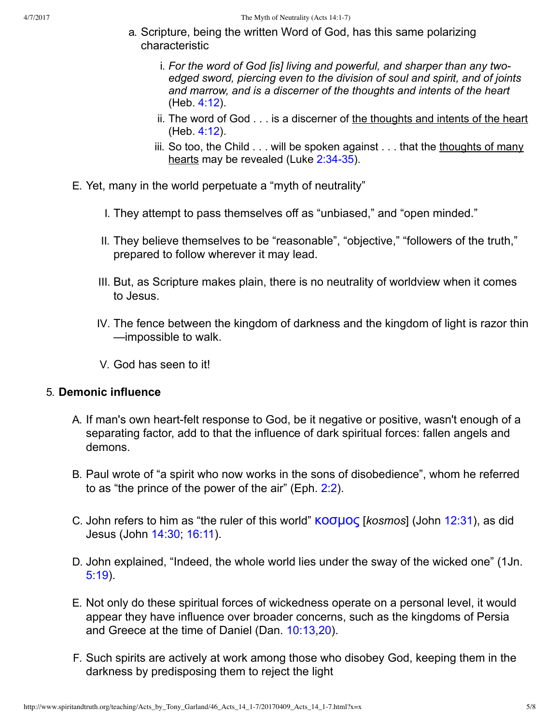- a. Scripture, being the written Word of God, has this same polarizing characteristic
	- i. *For the word of God [is] living and powerful, and sharper than any twoedged sword, piercing even to the division of soul and spirit, and of joints and marrow, and is a discerner of the thoughts and intents of the heart* (Heb. [4:12](http://www.spiritandtruth.org/bibles/nasb/b58c004.htm#Heb._C4V12)).
	- ii. The word of God . . . is a discerner of the thoughts and intents of the heart (Heb. [4:12](http://www.spiritandtruth.org/bibles/nasb/b58c004.htm#Heb._C4V12)).
	- iii. So too, the Child . . . will be spoken against . . . that the thoughts of many hearts may be revealed (Luke 2:34-35).
- E. Yet, many in the world perpetuate a "myth of neutrality"
	- I. They attempt to pass themselves off as "unbiased," and "open minded."
	- II. They believe themselves to be "reasonable", "objective," "followers of the truth," prepared to follow wherever it may lead.
	- III. But, as Scripture makes plain, there is no neutrality of worldview when it comes to Jesus.
	- IV. The fence between the kingdom of darkness and the kingdom of light is razor thin —impossible to walk.
	- V. God has seen to it!

#### 5. **Demonic influence**

- A. If man's own heart-felt response to God, be it negative or positive, wasn't enough of a separating factor, add to that the influence of dark spiritual forces: fallen angels and demons.
- B. Paul wrote of "a spirit who now works in the sons of disobedience", whom he referred to as "the prince of the power of the air" (Eph. [2:2\)](http://www.spiritandtruth.org/bibles/nasb/b49c002.htm#Eph._C2V2).
- C. John refers to him as "the ruler of this world" **KOσμος** [*kosmos*] (John [12:31](http://www.spiritandtruth.org/bibles/nasb/b43c012.htm#John_C12V31)), as did Jesus (John [14:30](http://www.spiritandtruth.org/bibles/nasb/b43c014.htm#John_C14V30); [16:11](http://www.spiritandtruth.org/bibles/nasb/b43c016.htm#John_C16V11)).
- D. John explained, "Indeed, the whole world lies under the sway of the wicked one" (1Jn. [5:19\)](http://www.spiritandtruth.org/bibles/nasb/b62c005.htm#1Jn._C5V19).
- E. Not only do these spiritual forces of wickedness operate on a personal level, it would appear they have influence over broader concerns, such as the kingdoms of Persia and Greece at the time of Daniel (Dan. [10:13,](http://www.spiritandtruth.org/bibles/nasb/b27c010.htm#Dan._C10V13)[20](http://www.spiritandtruth.org/bibles/nasb/b27c010.htm#Dan._C10V20)).
- F. Such spirits are actively at work among those who disobey God, keeping them in the darkness by predisposing them to reject the light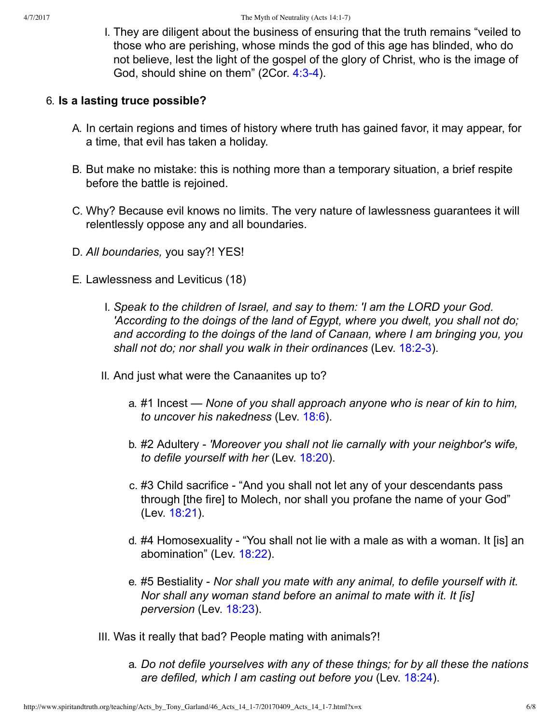I. They are diligent about the business of ensuring that the truth remains "veiled to those who are perishing, whose minds the god of this age has blinded, who do not believe, lest the light of the gospel of the glory of Christ, who is the image of God, should shine on them" (2Cor. 4:3-4).

### 6. **Is a lasting truce possible?**

- A. In certain regions and times of history where truth has gained favor, it may appear, for a time, that evil has taken a holiday.
- B. But make no mistake: this is nothing more than a temporary situation, a brief respite before the battle is rejoined.
- C. Why? Because evil knows no limits. The very nature of lawlessness guarantees it will relentlessly oppose any and all boundaries.
- D. *All boundaries,* you say?! YES!
- E. Lawlessness and Leviticus (18)
	- I. *Speak to the children of Israel, and say to them: 'I am the LORD your God. 'According to the doings of the land of Egypt, where you dwelt, you shall not do; and according to the doings of the land of Canaan, where I am bringing you, you* shall not do; nor shall you walk in their ordinances (Lev. 18:2-3).
	- II. And just what were the Canaanites up to?
		- a. #1 Incest *None of you shall approach anyone who is near of kin to him, to uncover his nakedness* (Lev. [18:6](http://www.spiritandtruth.org/bibles/nasb/b03c018.htm#Lev._C18V6)).
		- b. #2 Adultery *'Moreover you shall not lie carnally with your neighbor's wife, to defile yourself with her* (Lev. [18:20](http://www.spiritandtruth.org/bibles/nasb/b03c018.htm#Lev._C18V20)).
		- c. #3 Child sacrifice "And you shall not let any of your descendants pass through [the fire] to Molech, nor shall you profane the name of your God" (Lev. [18:21](http://www.spiritandtruth.org/bibles/nasb/b03c018.htm#Lev._C18V21)).
		- d. #4 Homosexuality "You shall not lie with a male as with a woman. It [is] an abomination" (Lev. [18:22](http://www.spiritandtruth.org/bibles/nasb/b03c018.htm#Lev._C18V22)).
		- e. #5 Bestiality *Nor shall you mate with any animal, to defile yourself with it. Nor shall any woman stand before an animal to mate with it. It [is] perversion* (Lev. [18:23\)](http://www.spiritandtruth.org/bibles/nasb/b03c018.htm#Lev._C18V23).
	- III. Was it really that bad? People mating with animals?!
		- a. *Do not defile yourselves with any of these things; for by all these the nations are defiled, which I am casting out before you* (Lev. [18:24](http://www.spiritandtruth.org/bibles/nasb/b03c018.htm#Lev._C18V24)).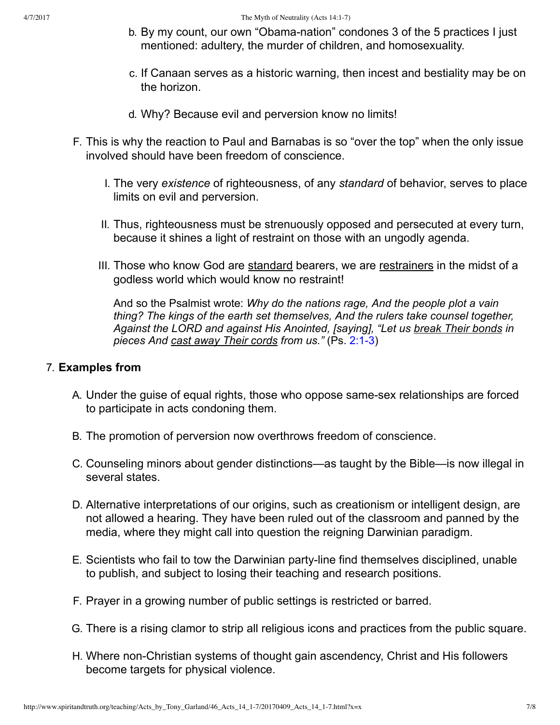- b. By my count, our own "Obama-nation" condones 3 of the 5 practices I just mentioned: adultery, the murder of children, and homosexuality.
- c. If Canaan serves as a historic warning, then incest and bestiality may be on the horizon.
- d. Why? Because evil and perversion know no limits!
- F. This is why the reaction to Paul and Barnabas is so "over the top" when the only issue involved should have been freedom of conscience.
	- I. The very *existence* of righteousness, of any *standard* of behavior, serves to place limits on evil and perversion.
	- II. Thus, righteousness must be strenuously opposed and persecuted at every turn, because it shines a light of restraint on those with an ungodly agenda.
	- III. Those who know God are standard bearers, we are restrainers in the midst of a godless world which would know no restraint!

And so the Psalmist wrote: *Why do the nations rage, And the people plot a vain thing? The kings of the earth set themselves, And the rulers take counsel together, Against the LORD and against His Anointed, [saying], "Let us break Their bonds in* pieces And cast away Their cords from us." (Ps. 2:1-3)

#### 7. **Examples from**

- A. Under the guise of equal rights, those who oppose same-sex relationships are forced to participate in acts condoning them.
- B. The promotion of perversion now overthrows freedom of conscience.
- C. Counseling minors about gender distinctions—as taught by the Bible—is now illegal in several states.
- D. Alternative interpretations of our origins, such as creationism or intelligent design, are not allowed a hearing. They have been ruled out of the classroom and panned by the media, where they might call into question the reigning Darwinian paradigm.
- E. Scientists who fail to tow the Darwinian party-line find themselves disciplined, unable to publish, and subject to losing their teaching and research positions.
- F. Prayer in a growing number of public settings is restricted or barred.
- G. There is a rising clamor to strip all religious icons and practices from the public square.
- H. Where non-Christian systems of thought gain ascendency, Christ and His followers become targets for physical violence.